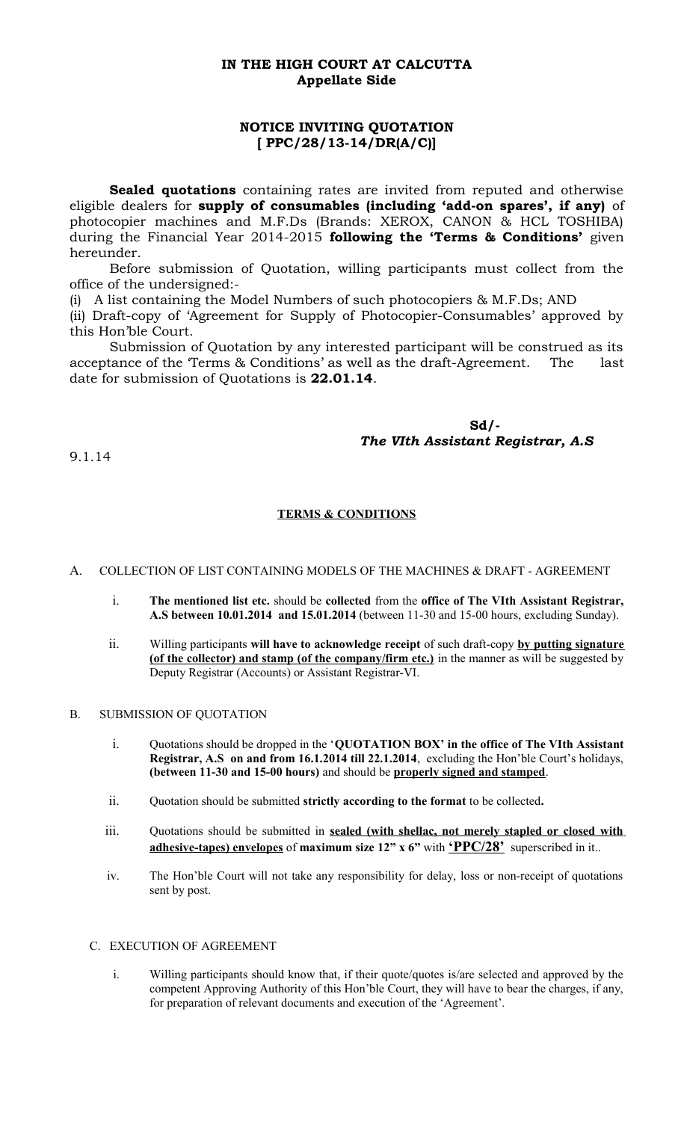## **IN THE HIGH COURT AT CALCUTTA Appellate Side**

# **NOTICE INVITING QUOTATION [ PPC/28/13-14/DR(A/C)]**

**Sealed quotations** containing rates are invited from reputed and otherwise eligible dealers for **supply of consumables (including 'add-on spares', if any)** of photocopier machines and M.F.Ds (Brands: XEROX, CANON & HCL TOSHIBA) during the Financial Year 2014-2015 **following the 'Terms & Conditions'** given hereunder.

Before submission of Quotation, willing participants must collect from the office of the undersigned:-

(i) A list containing the Model Numbers of such photocopiers & M.F.Ds; AND

(ii) Draft-copy of 'Agreement for Supply of Photocopier-Consumables' approved by this Hon'ble Court.

Submission of Quotation by any interested participant will be construed as its acceptance of the 'Terms & Conditions' as well as the draft-Agreement. The last date for submission of Quotations is **22.01.14**.

> **Sd/-** *The VIth Assistant Registrar, A.S*

9.1.14

## **TERMS & CONDITIONS**

A. COLLECTION OF LIST CONTAINING MODELS OF THE MACHINES & DRAFT - AGREEMENT

- i. **The mentioned list etc.** should be **collected** from the **office of The VIth Assistant Registrar, A.S between 10.01.2014 and 15.01.2014** (between 11-30 and 15-00 hours, excluding Sunday).
- ii. Willing participants **will have to acknowledge receipt** of such draft-copy **by putting signature (of the collector) and stamp (of the company/firm etc.)** in the manner as will be suggested by Deputy Registrar (Accounts) or Assistant Registrar-VI.

B. SUBMISSION OF QUOTATION

- i. Quotations should be dropped in the '**QUOTATION BOX' in the office of The VIth Assistant Registrar, A.S on and from 16.1.2014 till 22.1.2014**, excluding the Hon'ble Court's holidays, **(between 11-30 and 15-00 hours)** and should be **properly signed and stamped**.
- ii. Quotation should be submitted **strictly according to the format** to be collected**.**
- iii. Quotations should be submitted in **sealed (with shellac, not merely stapled or closed with adhesive-tapes) envelopes** of **maximum size 12" x 6"** with **'PPC/28'** superscribed in it..
- iv. The Hon'ble Court will not take any responsibility for delay, loss or non-receipt of quotations sent by post.

#### C. EXECUTION OF AGREEMENT

i. Willing participants should know that, if their quote/quotes is/are selected and approved by the competent Approving Authority of this Hon'ble Court, they will have to bear the charges, if any, for preparation of relevant documents and execution of the 'Agreement'.